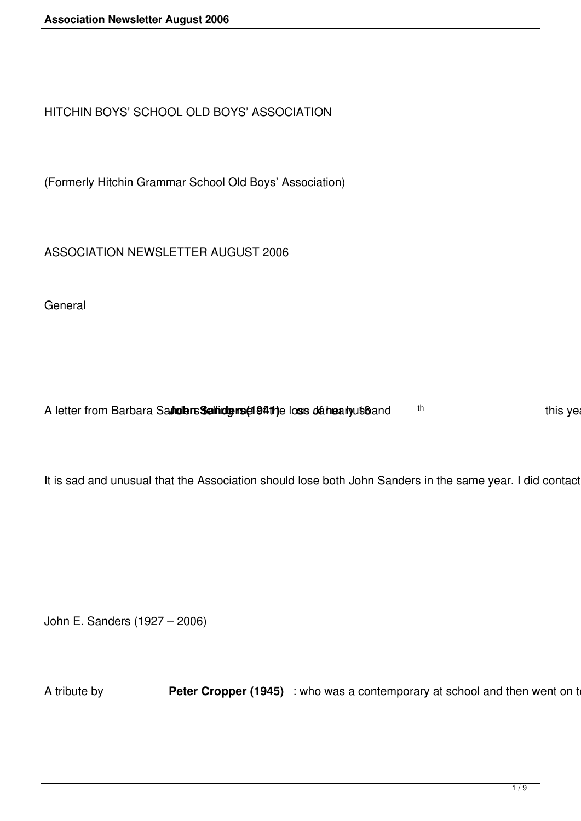HITCHIN BOYS' SCHOOL OLD BOYS' ASSOCIATION

(Formerly Hitchin Grammar School Old Boys' Association)

ASSOCIATION NEWSLETTER AUGUST 2006

**General** 

A letter from Barbara Saundlers Saltidgers (1941) e loss dahearly usband the metal of this ye

It is sad and unusual that the Association should lose both John Sanders in the same year. I did contact

John E. Sanders (1927 – 2006)

A tribute by **Peter Cropper (1945)** : who was a contemporary at school and then went on to Cambridget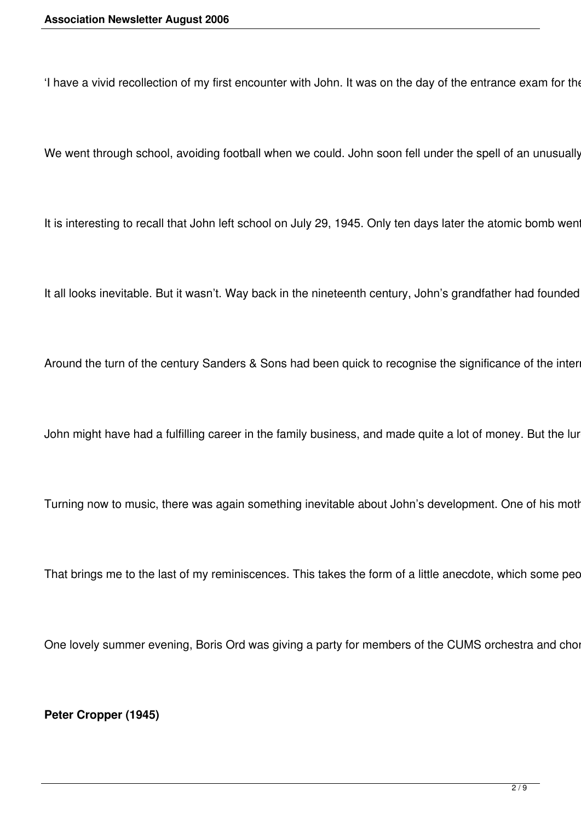'I have a vivid recollection of my first encounter with John. It was on the day of the entrance exam for the

We went through school, avoiding football when we could. John soon fell under the spell of an unusually

It is interesting to recall that John left school on July 29, 1945. Only ten days later the atomic bomb wen

It all looks inevitable. But it wasn't. Way back in the nineteenth century, John's grandfather had founded

Around the turn of the century Sanders & Sons had been quick to recognise the significance of the inter

John might have had a fulfilling career in the family business, and made quite a lot of money. But the lur

Turning now to music, there was again something inevitable about John's development. One of his moth

That brings me to the last of my reminiscences. This takes the form of a little anecdote, which some pec

One lovely summer evening, Boris Ord was giving a party for members of the CUMS orchestra and chor

**Peter Cropper (1945)**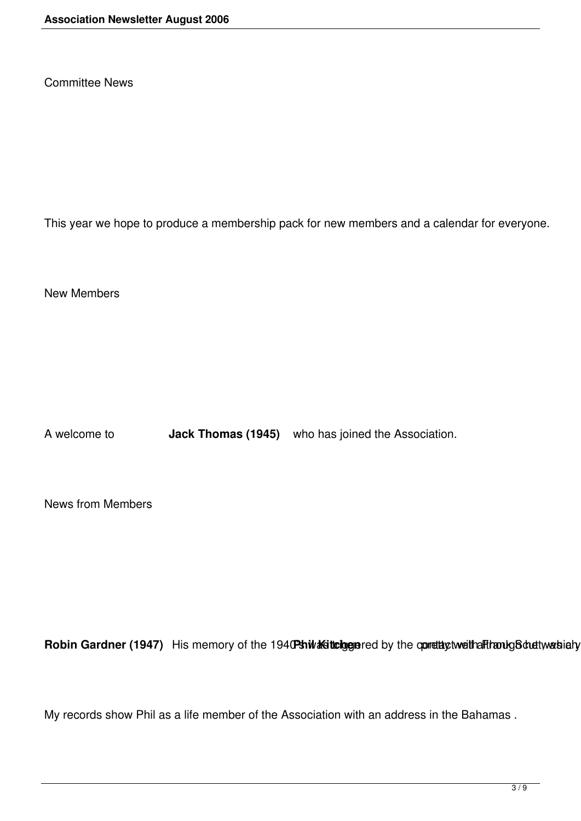Committee News

This year we hope to produce a membership pack for new members and a calendar for everyone.

New Members

A welcome to **Jack Thomas (1945)** who has joined the Association.

News from Members

Robin Gardner (1947) His memory of the 1940Pshiwkkisttologuered by the opmettal ctweithalfthaoulg Schuettwarshi

My records show Phil as a life member of the Association with an address in the Bahamas .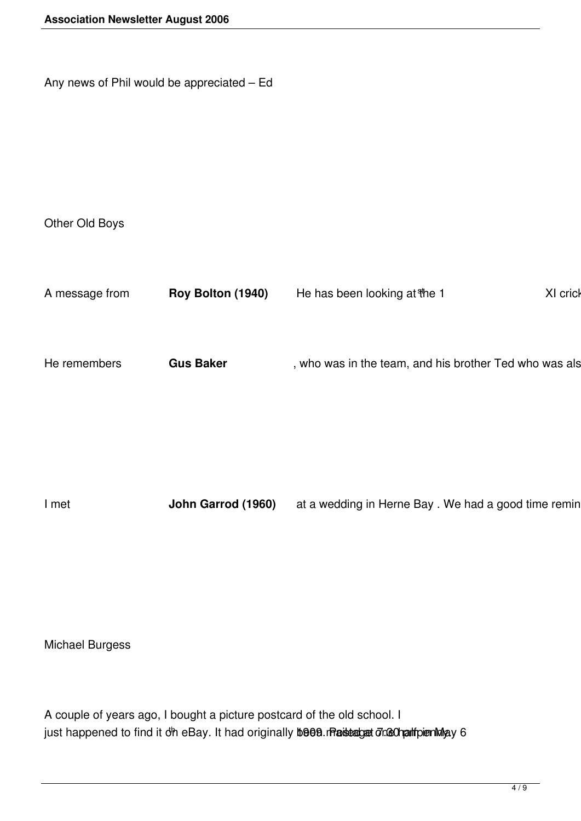Any news of Phil would be appreciated – Ed

Other Old Boys

| Roy Bolton (1940)<br>He has been looking at the 1<br>A message from                        | XI crick |
|--------------------------------------------------------------------------------------------|----------|
|                                                                                            |          |
| He remembers<br>, who was in the team, and his brother Ted who was als<br><b>Gus Baker</b> |          |
|                                                                                            |          |

I met **John Garrod (1960)** at a wedding in Herne Bay . We had a good time remin

Michael Burgess

A couple of years ago, I bought a picture postcard of the old school. I just happened to find it on eBay. It had originally been mailed at 7.30 pailpenning 6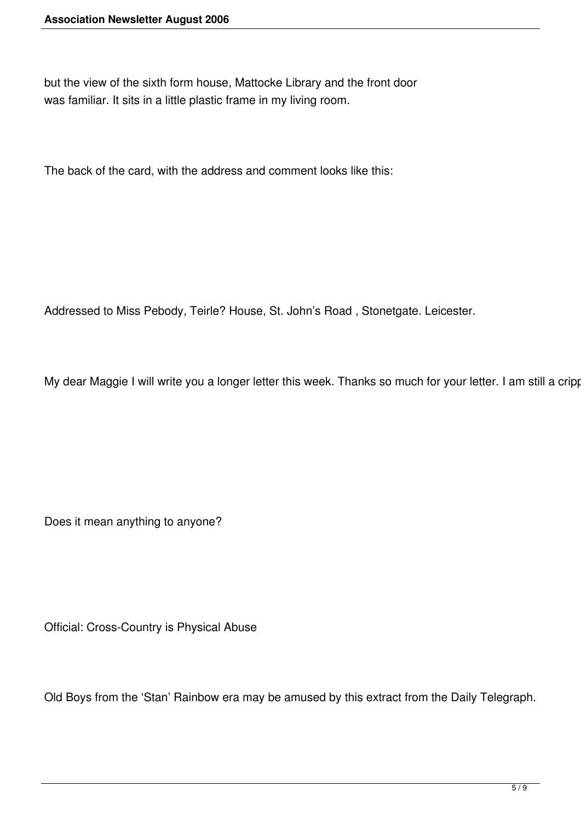but the view of the sixth form house, Mattocke Library and the front door was familiar. It sits in a little plastic frame in my living room.

The back of the card, with the address and comment looks like this:

Addressed to Miss Pebody, Teirle? House, St. John's Road , Stonetgate. Leicester.

My dear Maggie I will write you a longer letter this week. Thanks so much for your letter. I am still a cripp

Does it mean anything to anyone?

Official: Cross-Country is Physical Abuse

Old Boys from the 'Stan' Rainbow era may be amused by this extract from the Daily Telegraph.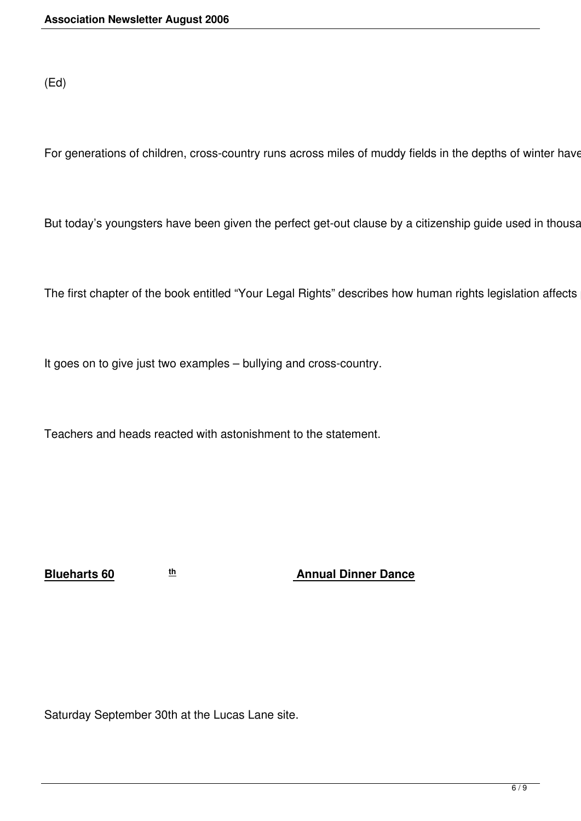(Ed)

For generations of children, cross-country runs across miles of muddy fields in the depths of winter have

But today's youngsters have been given the perfect get-out clause by a citizenship guide used in thousa

The first chapter of the book entitled "Your Legal Rights" describes how human rights legislation affects

It goes on to give just two examples – bullying and cross-country.

Teachers and heads reacted with astonishment to the statement.

**Blueharts 60 th Annual Dinner Dance** 

Saturday September 30th at the Lucas Lane site.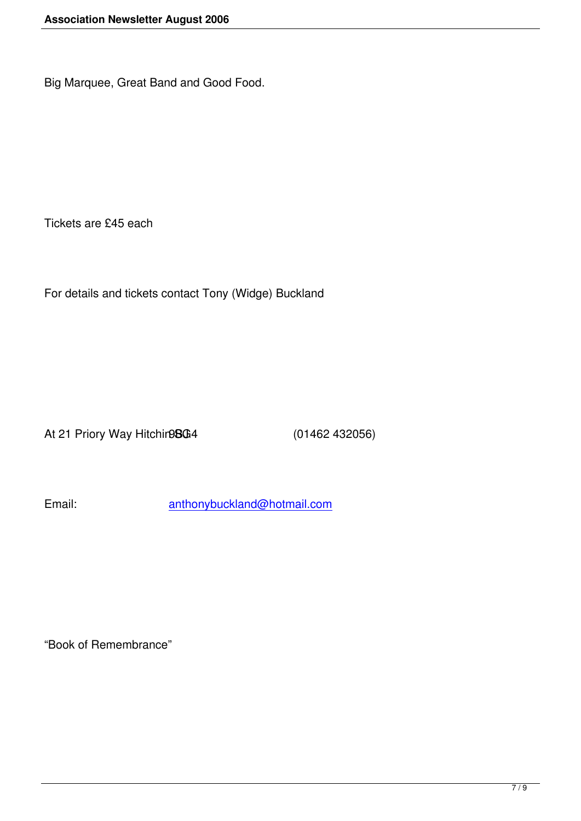Big Marquee, Great Band and Good Food.

Tickets are £45 each

For details and tickets contact Tony (Widge) Buckland

At 21 Priory Way Hitchir **98G** 4 (01462 432056)

Email: anthonybuckland@hotmail.com

"Book of Remembrance"